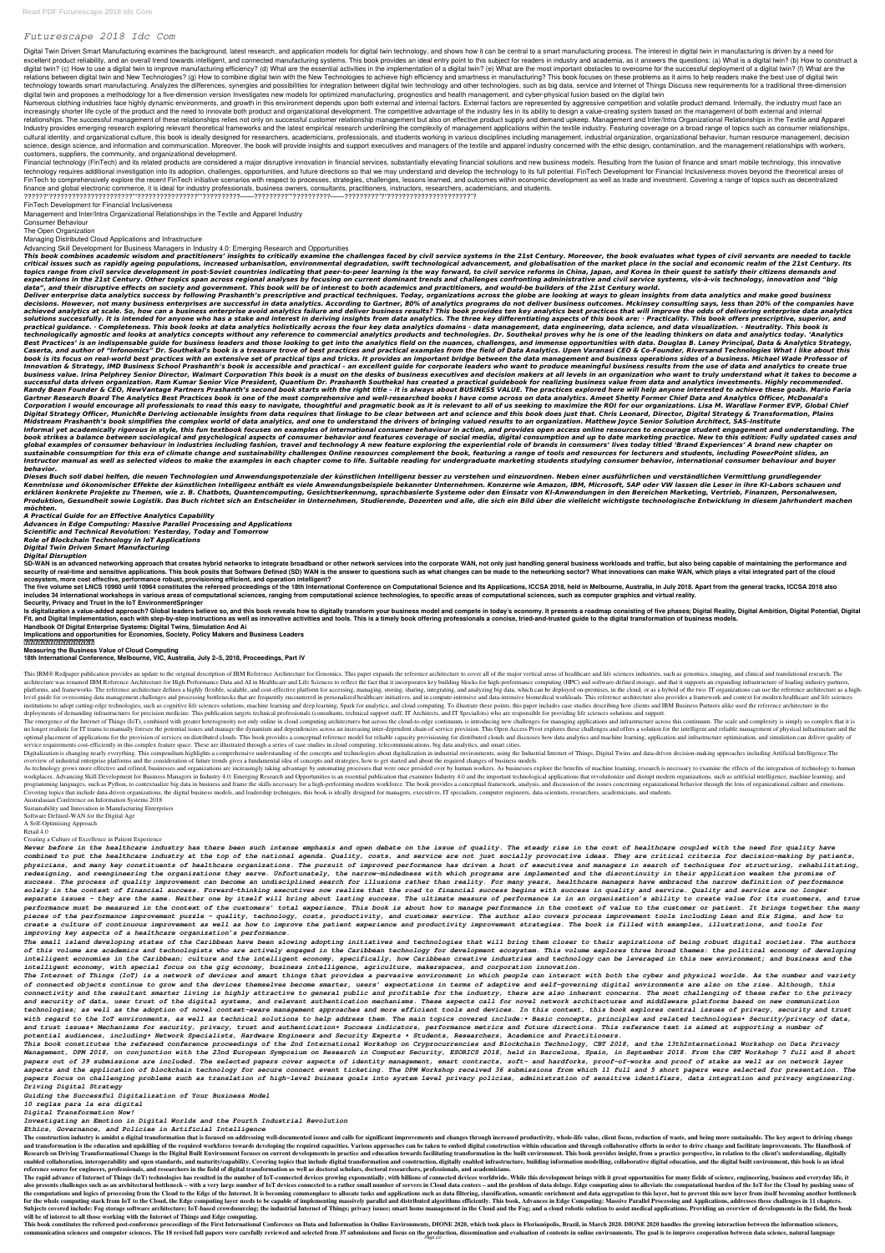# *Futurescape 2018 Idc Com*

Digital Twin Driven Smart Manufacturing examines the background, latest research, and application models for digital twin technology, and shows how it can be central to a smart manufacturing process. The interest in digita excellent product reliability, and an overall trend towards intelligent, and connected manufacturing systems. This book provides an ideal entry point to this subject for readers in industry and academia, as it answers the digital twin? (c) How to use a digital twin to improve manufacturing efficiency? (d) What are the essential activities in the implementation of a digital twin? (e) What are the most important obstacles to overcome for the relations between digital twin and New Technologies? (g) How to combine digital twin with the New Technologies to achieve high efficiency and smartness in manufacturing? This book focuses on these problems as it aims to he technology towards smart manufacturing. Analyzes the differences, synergies and possibilities for integration between digital twin technology and other technologies, such as big data, service and Internet of Things Discuss digital twin and proposes a methodology for a five-dimension version Investigates new models for optimized manufacturing, prognostics and health management, and cyber-physical fusion based on the digital twin

Numerous clothing industries face highly dynamic environments, and growth in this environment depends upon both external and internal factors. External factors are represented by aggressive competition and volatile product increasingly shorter life cycle of the product and the need to innovate both product and organizational development. The competitive advantage of the industry lies in its ability to design a value-creating system based on relationships. The successful management of these relationships relies not only on successful customer relationship management but also on effective product supply and demand upkeep. Management and Inter/Intra Organization Industry provides emerging research exploring relevant theoretical frameworks and the latest empirical research underlining the complexity of management applications within the textile industry. Featuring coverage on a bro cultural identity, and organizational culture, this book is ideally designed for researchers, academicians, professionals, and students working in various disciplines including management, industrial organization, organiza science, design science, and information and communication. Moreover, the book will provide insights and support executives and managers of the textile and apparel industry concerned with the ethic design, contamination, a customers, suppliers, the community, and organizational development.

Financial technology (FinTech) and its related products are considered a major disruptive innovation in financial services, substantially elevating financial solutions and new business models. Resulting from the fusion of technology requires additional investigation into its adoption, challenges, opportunities, and future directions so that we may understand and develop the technology to its full potential. FinTech Development for Financial FinTech to comprehensively explore the recent FinTech initiative scenarios with respect to processes, strategies, challenges, lessons learned, and outcomes within economic development as well as trade and investment. Cover finance and global electronic commerce, it is ideal for industry professionals, business owners, consultants, practitioners, instructors, researchers, academicians, and students.

This book combines academic wisdom and practitioners' insights to critically examine the challenges faced by civil service systems in the 21st Century. Moreover, the book evaluates what types of civil servants are needed t critical issues such as rapidly ageing populations, increased urbanisation, environmental degradation, swift technological advancement, and globalisation of the market place in the social and economic realm of the 21st Cen topics range from civil service development in post-Soviet countries indicating that peer-to-peer learning is the way forward, to civil service reforms in China, Japan, and Korea in their quest to satisfy their citizens de expectations in the 21st Century. Other topics span across regional analyses by focusing on current dominant trends and challenges confronting administrative and civil service systems, vis-à-vis technology, innovation and *data", and their disruptive effects on society and government. This book will be of interest to both academics and practitioners, and would-be builders of the 21st Century world.*

??????"??????????????????????""????????????????""??????????——?????????""??????????——?????????"?"??????????????????????"?

# FinTech Development for Financial Inclusiveness

Management and Inter/Intra Organizational Relationships in the Textile and Apparel Industry

Consumer Behaviour

The Open Organization

Managing Distributed Cloud Applications and Infrastructure

Advancing Skill Development for Business Managers in Industry 4.0: Emerging Research and Opportunities

Deliver enterprise data analytics success by following Prashanth's prescriptive and practical techniques. Today, organizations across the globe are looking at ways to glean insights from data analytics and make good busine decisions. However, not many business enterprises are successful in data analytics. According to Gartner, 80% of analytics programs do not deliver business outcomes. Mckinsey consulting says, less than 20% of the companies achieved analytics at scale. So, how can a business enterprise avoid analytics failure and deliver business results? This book provides ten key analytics best practices that will improve the odds of delivering enterprise d solutions successfully. It is intended for anyone who has a stake and interest in deriving insights from data analytics. The three key differentiating aspects of this book are: · Practicality. This book offers prescriptive practical guidance. • Completeness. This book looks at data analytics holistically across the four key data analytics domains - data management, data engineering, data science, and data visualization. • Neutrality. This bo technologically agnostic and looks at analytics concepts without any reference to commercial analytics products and technologies. Dr. Southekal proves why he is one of the leading thinkers on data and analytics today. 'Ana Best Practices' is an indispensable guide for business leaders and those looking to get into the analytics field on the nuances, challenges, and immense opportunities with data. Douglas B. Laney Principal, Data & Analytics Caserta, and author of "Infonomics" Dr. Southekal's book is a treasure trove of best practices and practical examples from the field of Data Analytics. Upen Varanasi CEO & Co-Founder, Riversand Technologies What I like abo book is its focus on real-world best practices with an extensive set of practical tips and tricks. It provides an important bridge between the data management and business operations sides of a business. Michael Wade Profe Innovation & Strategy, IMD Business School Prashanth's book is accessible and practical - an excellent guide for corporate leaders who want to produce meaningful business results from the use of data and analytics to creat business value. Irina Pelphrey Senior Director, Walmart Corporation This book is a must on the desks of business executives and decision makers at all levels in an organization who want to truly understand what it takes to successful data driven organization. Ram Kumar Senior Vice President, Quantium Dr. Prashanth Southekal has created a practical guidebook for realizing business value from data and analytics investments. Highly recommended. Randy Bean Founder & CEO, NewVantage Partners Prashanth's second book starts with the right title - it is always about BUSINESS VALUE. The practices explored here will help anyone interested to achieve these goals. Mario F Gartner Research Board The Analytics Best Practices book is one of the most comprehensive and well-researched books I have come across on data analytics. Ameet Shetty Former Chief Data and Analytics Officer, McDonald's Corporation I would encourage all professionals to read this easy to navigate, thoughtful and pragmatic book as it is relevant to all of us seeking to maximize the ROI for our organizations. Lisa M. Wardlaw Former EVP, Glo Digital Strategy Officer, MunichRe Deriving actionable insights from data requires that linkage to be clear between art and science and this book does just that. Chris Leonard, Director, Digital Strategy & Transformation, *Midstream Prashanth's book simplifies the complex world of data analytics, and one to understand the drivers of bringing valued results to an organization. Matthew Joyce Senior Solution Architect, SAS-Institute* Informal yet academically rigorous in style, this fun textbook focuses on examples of international consumer behaviour in action, and provides open access online resources to encourage student engagement and understanding. book strikes a balance between sociological and psychological aspects of consumer behavior and features coverage of social media, digital consumption and up to date marketing practice. New to this edition: Fully updated ca global examples of consumer behaviour in industries including fashion, travel and technology A new feature exploring the experiential role of brands in consumers' lives today titled 'Brand Experiences' A brand new chapter sustainable consumption for this era of climate change and sustainability challenges Online resources complement the book, featuring a range of tools and resources for lecturers and students, including PowerPoint slides, a Instructor manual as well as selected videos to make the examples in each chapter come to life. Suitable reading for undergraduate marketing students studying consumer behavior, international consumer behaviour and buyer *behavior.*

SD-WAN is an advanced networking approach that creates hybrid networks to integrate broadband or other network services into the corporate WAN, not only just handling general business workloads and traffic, but also being security of real-time and sensitive applications. This book posits that Software Defined (SD) WAN is the answer to questions such as what changes can be made to the networking sector? What innovations can make WAN, which p **ecosystem, more cost effective, performance robust, provisioning efficient, and operation intelligent?**

The five volume set LNCS 10960 until 10964 constitutes the refereed proceedings of the 18th International Conference on Computational Science and Its Applications, ICCSA 2018, held in Melbourne, Australia, in July 2018. Ap includes 34 international workshops in various areas of computational sciences, ranging from computational science technologies, to specific areas of computational sciences, such as computer graphics and virtual reality.

Digitalization is changing nearly everything. This compendium highlights a comprehensive understanding of the concepts and technologies about digitalization in industrial Internet of Things, Digital I Twins and data-driven overview of industrial enterprise platforms and the consideration of future trends gives a fundamental idea of concepts and strategies, how to get started and about the required changes of business models.

As technology grows more effective and refined, businesses and organizations are increasingly taking advantage by automating processes that were once presided over by human workers. As businesses explore the benefits of ma workplaces. Advancing Skill Development for Business Managers in Industry 4.0: Emerging Research and Opportunities is an essential publication that examines Industry 4.0 and the important technological applications that re programming languages, such as Python, to contextualize big data in business and frame the skills necessary for a high-performing modern workforce. The book provides a conceptual framework, analysis, and discussion of the Covering topics that include data-driven organizations, the digital business models, and leadership techniques, this book is ideally designed for managers, executives, IT specialists, computer engineers, data scientists, r

*Dieses Buch soll dabei helfen, die neuen Technologien und Anwendungspotenziale der künstlichen Intelligenz besser zu verstehen und einzuordnen. Neben einer ausführlichen und verständlichen Vermittlung grundlegender* Kenntnisse und ökonomischer Effekte der künstlichen Intelligenz enthält es viele Anwendungsbeispiele bekannter Unternehmen. Konzerne wie Amazon, IBM, Microsoft, SAP oder VW lassen die Leser in ihre KI-Labors schauen und *erklären konkrete Projekte zu Themen, wie z. B. Chatbots, Quantencomputing, Gesichtserkennung, sprachbasierte Systeme oder den Einsatz von KI-Anwendungen in den Bereichen Marketing, Vertrieb, Finanzen, Personalwesen,* Produktion, Gesundheit sowie Logistik. Das Buch richtet sich an Entscheider in Unternehmen, Studierende, Dozenten und alle, die sich ein Bild über die vielleicht wichtigste technologische Entwicklung in diesem Jahrhundert *möchten.*

*A Practical Guide for an Effective Analytics Capability*

*Advances in Edge Computing: Massive Parallel Processing and Applications*

*Scientific and Technical Revolution: Yesterday, Today and Tomorrow*

*Role of Blockchain Technology in IoT Applications*

*Digital Twin Driven Smart Manufacturing*

# *Digital Disruption*

The construction industry is amidst a digital transformation that is focused on addressing well-documented issues and calls for significant improvements and changes through increased productivity, whole-life value, client and transformation is the education and upskilling of the required workforce towards developing the required seal be required capacities. Various approaches can be taken to embed digital construction within education and t Transformational Change in the Digital Built Environment focuses on current developments in practice and education towards facilitating transformation in the built environment. This book provides insight, from a practice p enabled collaboration, interoperability and open standards, and maturity/capability. Covering topics that include digital transformation and constructure, building information modelling, collaborative digital education, an **reference source for engineers, professionals, and researchers in the field of digital transformation as well as doctoral scholars, doctoral researchers, professionals, and academicians.**

#### **Security, Privacy and Trust in the IoT EnvironmentSpringer**

Is digitalization a value-added approach? Global leaders believe so, and this book reveals how to digitally transform your business model and compete in today's economy. It presents a roadmap consisting of five phases; Dig Fit, and Digital Implementation, each with step-by-step instructions as well as innovative activities and tools. This is a timely book offering professionals a concise, tried-and-trusted guide to the digital transformation

## **Handbook Of Digital Enterprise Systems: Digital Twins, Simulation And Ai**

**Implications and opportunities for Economies, Society, Policy Makers and Business Leaders**

The rapid advance of Internet of Things (IoT) technologies has resulted in the number of IoT-connected devices growing exponentially, with billions of connected devices worldwide. While this development brings with it grea also presents challenges such as an architectural bottleneck – with a very large number of IoT devices connected to a rather small number of servers in Cloud data centers – and the problem of data deluge. Edge computing ai the computations and logics of processing from the Cloud to the Edge of the Internet. It is becoming commonplace to allocate tasks and applications such as data filtering, classification, semantic enrichment and data aggre for the whole computing stack from IoT to the Cloud, the Edge computing layer needs to be capable of implementing massively parallel and distributed algorithms efficiently. This book, Advances in Edge Computing: Massive Pa Subjects covered include: Fog storage software architecture; IoT-based crowdsourcing; the industrial Internet of Things; privacy issues; smart home management in the Cloud and the Fog; and a cloud robotic solution to assis **will be of interest to all those working with the Internet of Things and Edge computing.**

This book constitutes the refereed post-conference proceedings of the First International Conference on Data and Information in Online Environments, DIONE 2020, which took place in Florianópolis, Brazil, in March 2020. DIO communication sciences and computer sciences. The 18 revised full papers were carefully reviewed and selected from 37 submissions and focus on the production, dissemination and evaluation of contents in online environments

### **虚实之间:工业互联网平台兴起**

**Measuring the Business Value of Cloud Computing**

**18th International Conference, Melbourne, VIC, Australia, July 2–5, 2018, Proceedings, Part IV**

This IBM® Redpaper publication provides an update to the original description of IBM Reference Architecture for Genomics. This paper expands the reference architecture to cover all of the major vertical areas of healthcare architecture was renamed IBM Reference Architecture for High Performance Data and AI in Healthcare and Life Sciences to reflect the fact that it incorporates key building blocks for high-performance computing (HPC) and sof platforms, and frameworks. The reference architecture defines a highly flexible, scalable, and cost-effective platform for accessing, managing, storing, sharing, integrating, and analyzing big data, which can be deployed o level guide for overcoming data management challenges and processing bottlenecks that are frequently encountered in personalized healthcare initiatives, and in compute-intensive and data-intensive biomedical workloads. Thi institutions to adopt cutting-edge technologies, such as cognitive life sciences solutions, machine learning and deep learning, Spark for analytics, and cloud computing. To illustrate these points, this paper includes case deployments of demanding infrastructures for precision medicine. This publication targets technical professionals (consultants, technical support staff, IT Architects, and IT Specialists) who are responsible for providing

The emergence of the Internet of Things (IoT), combined with greater heterogeneity not only online in cloud computing architectures but across the cloud-to-edge continuum, is introducing new challenges for managing applica no longer realistic for IT teams to manually foresee the potential issues and manage the dynamism and dependencies across an increasing inter-dependent chain of service provision. This Open Access Pivot explores these chal optimal placement of applications for the provision of services on distributed clouds. This book provides a conceptual reference model for reliable capacity provisioning for distributed clouds and discusses how data analyt service requirements cost-efficiently in this complex feature space. These are illustrated through a series of case studies in cloud computing, telecommunications, big data analytics, and smart cities.

Australasian Conference on Information Systems 2018

Sustainability and Innovation in Manufacturing Enterprises

Software Defined-WAN for the Digital Age

A Self-Optimising Approach

Retail 4.0

#### Creating a Culture of Excellence in Patient Experience

*Never before in the healthcare industry has there been such intense emphasis and open debate on the issue of quality. The steady rise in the cost of healthcare coupled with the need for quality have combined to put the healthcare industry at the top of the national agenda. Quality, costs, and service are not just socially provocative ideas. They are critical criteria for decision-making by patients, physicians, and many key constituents of healthcare organizations. The pursuit of improved performance has driven a host of executives and managers in search of techniques for structuring, rehabilitating, redesigning, and reengineering the organizations they serve. Unfortunately, the narrow-mindedness with which programs are implemented and the discontinuity in their application weaken the promise of success. The process of quality improvement can become an undisciplined search for illusions rather than reality. For many years, healthcare managers have embraced the narrow definition of performance solely in the context of financial success. Forward-thinking executives now realize that the road to financial success begins with success in quality and service. Quality and service are no longer separate issues – they are the same. Neither one by itself will bring about lasting success. The ultimate measure of performance is in an organization's ability to create value for its customers, and true performance must be measured in the context of the customers' total experience. This book is about how to manage performance in the context of value to the customer or patient. It brings together the many pieces of the performance improvement puzzle – quality, technology, costs, productivity, and customer service. The author also covers process improvement tools including Lean and Six Sigma, and how to create a culture of continuous improvement as well as how to improve the patient experience and productivity improvement strategies. The book is filled with examples, illustrations, and tools for improving key aspects of a healthcare organization's performance.*

*The small island developing states of the Caribbean have been slowing adopting initiatives and technologies that will bring them closer to their aspirations of being robust digital societies. The authors*

*of this volume are academics and technologists who are actively engaged in the Caribbean technology for development ecosystem. This volume explores three broad themes: the political economy of developing intelligent economies in the Caribbean; culture and the intelligent economy, specifically, how Caribbean creative industries and technology can be leveraged in this new environment; and business and the intelligent economy, with special focus on the gig economy, business intelligence, agriculture, makerspaces, and corporation innovation.*

*The Internet of Things (IoT) is a network of devices and smart things that provides a pervasive environment in which people can interact with both the cyber and physical worlds. As the number and variety of connected objects continue to grow and the devices themselves become smarter, users' expectations in terms of adaptive and self-governing digital environments are also on the rise. Although, this connectivity and the resultant smarter living is highly attractive to general public and profitable for the industry, there are also inherent concerns. The most challenging of these refer to the privacy and security of data, user trust of the digital systems, and relevant authentication mechanisms. These aspects call for novel network architectures and middleware platforms based on new communication technologies; as well as the adoption of novel context-aware management approaches and more efficient tools and devices. In this context, this book explores central issues of privacy, security and trust with regard to the IoT environments, as well as technical solutions to help address them. The main topics covered include:• Basic concepts, principles and related technologies• Security/privacy of data, and trust issues• Mechanisms for security, privacy, trust and authentication• Success indicators, performance metrics and future directions. This reference text is aimed at supporting a number of potential audiences, including• Network Specialists, Hardware Engineers and Security Experts • Students, Researchers, Academics and Practitioners.*

*This book constitutes the refereed conference proceedings of the 2nd International Workshop on Cryprocurrencies and Blockchain Technology, CBT 2018, and the 13thInternational Workshop on Data Privacy Management, DPM 2018, on conjunction with the 23nd European Symposium on Research in Computer Security, ESORICS 2018, held in Barcelona, Spain, in September 2018. From the CBT Workshop 7 full and 8 short papers out of 39 submissions are included. The selected papers cover aspects of identity management, smart contracts, soft- and hardforks, proof-of-works and proof of stake as well as on network layer aspects and the application of blockchain technology for secure connect event ticketing. The DPM Workshop received 36 submissions from which 11 full and 5 short papers were selected for presentation. The papers focus on challenging problems such as translation of high-level buiness goals into system level privacy policies, administration of sensitive identifiers, data integration and privacy engineering. Driving Digital Strategy*

*Guiding the Successful Digitalization of Your Business Model*

*10 reglas para la era digital*

*Digital Transformation Now!*

*Investigating an Emotion in Digital Worlds and the Fourth Industrial Revolution*

*Ethics, Governance, and Policies in Artificial Intelligence*